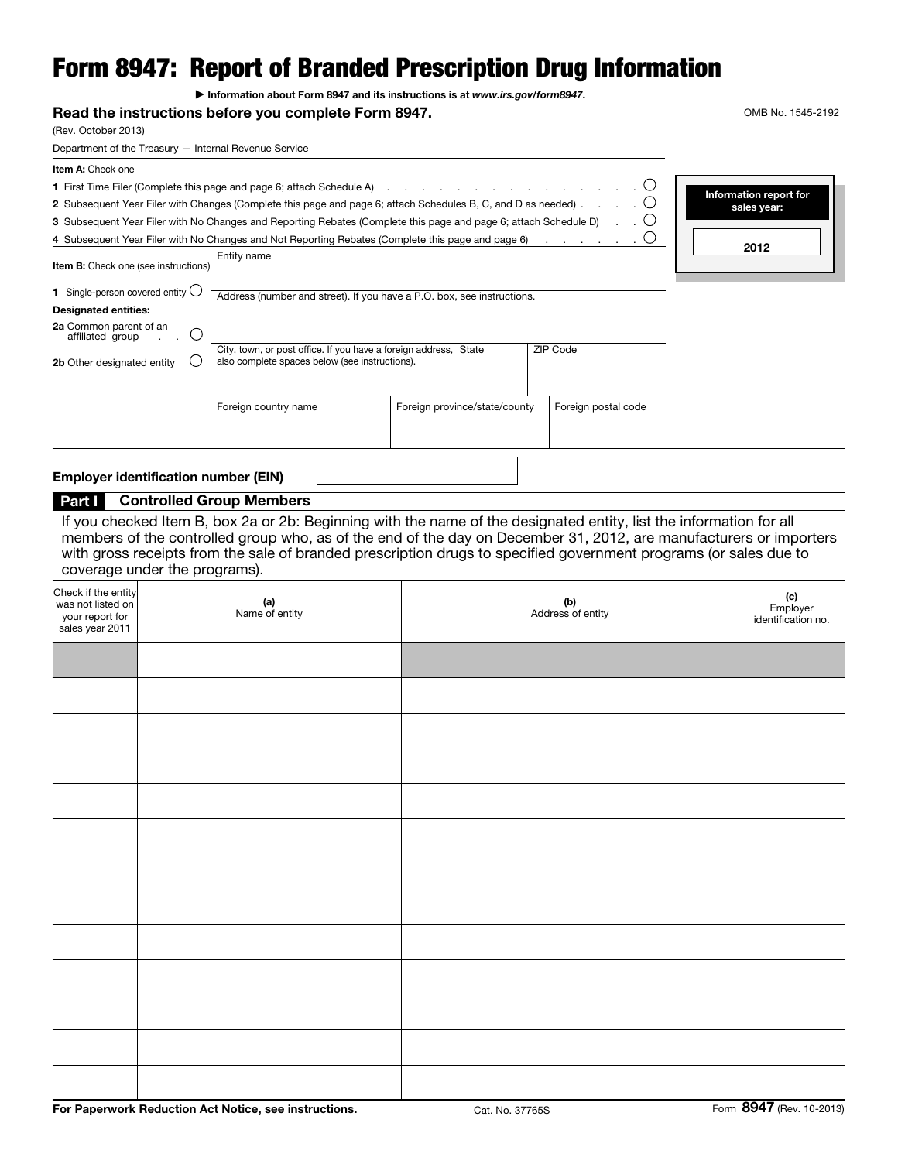# Form 8947: Report of Branded Prescription Drug Information

▶ Information about Form 8947 and its instructions is at *www.irs.gov/form8947*.

### Read the instructions before you complete Form 8947. The state of the instructions before you complete Form 8947.

Entity name

(Rev. October 2013)

Department of the Treasury — Internal Revenue Service

Item A: Check one

2 Subsequent Year Filer with Changes (Complete this page and page 6; attach Schedules B, C, and D as needed)  $\ldots$ .  $\circ$ 

3 Subsequent Year Filer with No Changes and Reporting Rebates (Complete this page and page 6; attach Schedule D) 4 Subsequent Year Filer with No Changes and Not Reporting Rebates (Complete this page and page 6)

| Information report for<br>sales year: |  |
|---------------------------------------|--|
| 2012                                  |  |

 $\bigcirc$ 

 $\bigcirc$  $\bigcirc$ 

| <b>Item B:</b> Check one (see instructions)                                                                                                              | Littly <b>Hallie</b>                                                                                                                                                                   |                               |                     |  |
|----------------------------------------------------------------------------------------------------------------------------------------------------------|----------------------------------------------------------------------------------------------------------------------------------------------------------------------------------------|-------------------------------|---------------------|--|
| Single-person covered entity $\bigcirc$<br><b>Designated entities:</b><br>2a Common parent of an<br>.)<br>affiliated group<br>2b Other designated entity | Address (number and street). If you have a P.O. box, see instructions.<br>City, town, or post office. If you have a foreign address,<br>also complete spaces below (see instructions). |                               |                     |  |
|                                                                                                                                                          | Foreign country name                                                                                                                                                                   | Foreign province/state/county | Foreign postal code |  |

### Employer identification number (EIN)

# Part | Controlled Group Members

If you checked Item B, box 2a or 2b: Beginning with the name of the designated entity, list the information for all members of the controlled group who, as of the end of the day on December 31, 2012, are manufacturers or importers with gross receipts from the sale of branded prescription drugs to specified government programs (or sales due to coverage under the programs).

| Check if the entity<br>was not listed on<br>your report for<br>sales year 2011 | (a)<br>Name of entity | (b)<br>Address of entity | (c)<br>Employer<br>identification no. |
|--------------------------------------------------------------------------------|-----------------------|--------------------------|---------------------------------------|
|                                                                                |                       |                          |                                       |
|                                                                                |                       |                          |                                       |
|                                                                                |                       |                          |                                       |
|                                                                                |                       |                          |                                       |
|                                                                                |                       |                          |                                       |
|                                                                                |                       |                          |                                       |
|                                                                                |                       |                          |                                       |
|                                                                                |                       |                          |                                       |
|                                                                                |                       |                          |                                       |
|                                                                                |                       |                          |                                       |
|                                                                                |                       |                          |                                       |
|                                                                                |                       |                          |                                       |
|                                                                                |                       |                          |                                       |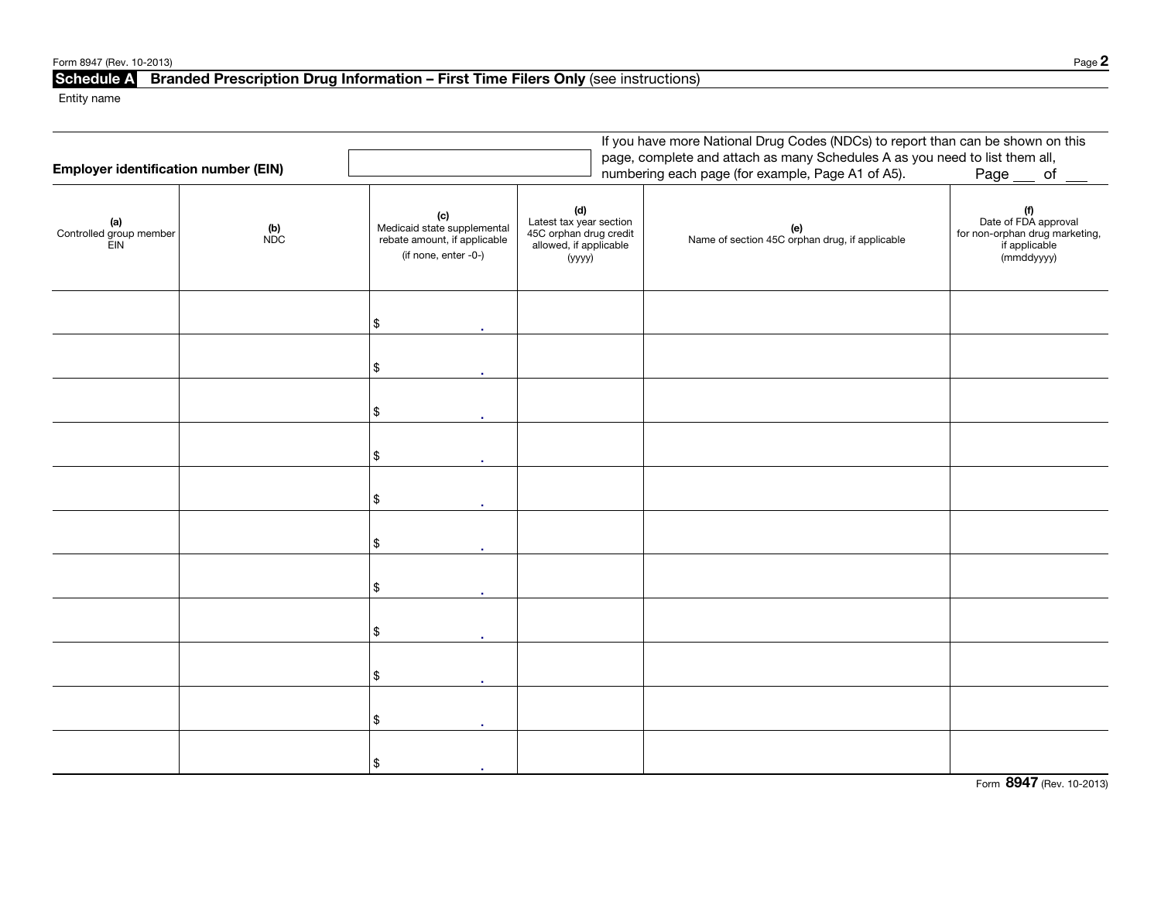| Page $\mathbb Z$ |
|------------------|
|                  |

# Schedule A Branded Prescription Drug Information – First Time Filers Only (see instructions)

Entity name

|                                             |              |                                                                                            |                                                                                                         | If you have more National Drug Codes (NDCs) to report than can be shown on this                                                  |                                                                                                |
|---------------------------------------------|--------------|--------------------------------------------------------------------------------------------|---------------------------------------------------------------------------------------------------------|----------------------------------------------------------------------------------------------------------------------------------|------------------------------------------------------------------------------------------------|
| <b>Employer identification number (EIN)</b> |              |                                                                                            |                                                                                                         | page, complete and attach as many Schedules A as you need to list them all,<br>numbering each page (for example, Page A1 of A5). | Page __ of                                                                                     |
|                                             |              |                                                                                            |                                                                                                         |                                                                                                                                  |                                                                                                |
| (a)<br>Controlled group member<br>EIN       | $(b)$<br>NDC | (c)<br>Medicaid state supplemental<br>rebate amount, if applicable<br>(if none, enter -0-) | $(\mathsf{d})$<br>Latest tax year section<br>45C orphan drug credit<br>allowed, if applicable<br>(уууу) | (e)<br>Name of section 45C orphan drug, if applicable                                                                            | $(f)$<br>Date of FDA approval<br>for non-orphan drug marketing,<br>if applicable<br>(mmddyyyy) |
|                                             |              | \$<br>$\mathbf{r}$                                                                         |                                                                                                         |                                                                                                                                  |                                                                                                |
|                                             |              | \$                                                                                         |                                                                                                         |                                                                                                                                  |                                                                                                |
|                                             |              | \$                                                                                         |                                                                                                         |                                                                                                                                  |                                                                                                |
|                                             |              | \$                                                                                         |                                                                                                         |                                                                                                                                  |                                                                                                |
|                                             |              | \$                                                                                         |                                                                                                         |                                                                                                                                  |                                                                                                |
|                                             |              | \$                                                                                         |                                                                                                         |                                                                                                                                  |                                                                                                |
|                                             |              | \$<br>$\mathbf{r}$                                                                         |                                                                                                         |                                                                                                                                  |                                                                                                |
|                                             |              | \$                                                                                         |                                                                                                         |                                                                                                                                  |                                                                                                |
|                                             |              | \$                                                                                         |                                                                                                         |                                                                                                                                  |                                                                                                |
|                                             |              | \$                                                                                         |                                                                                                         |                                                                                                                                  |                                                                                                |
|                                             |              | \$                                                                                         |                                                                                                         |                                                                                                                                  |                                                                                                |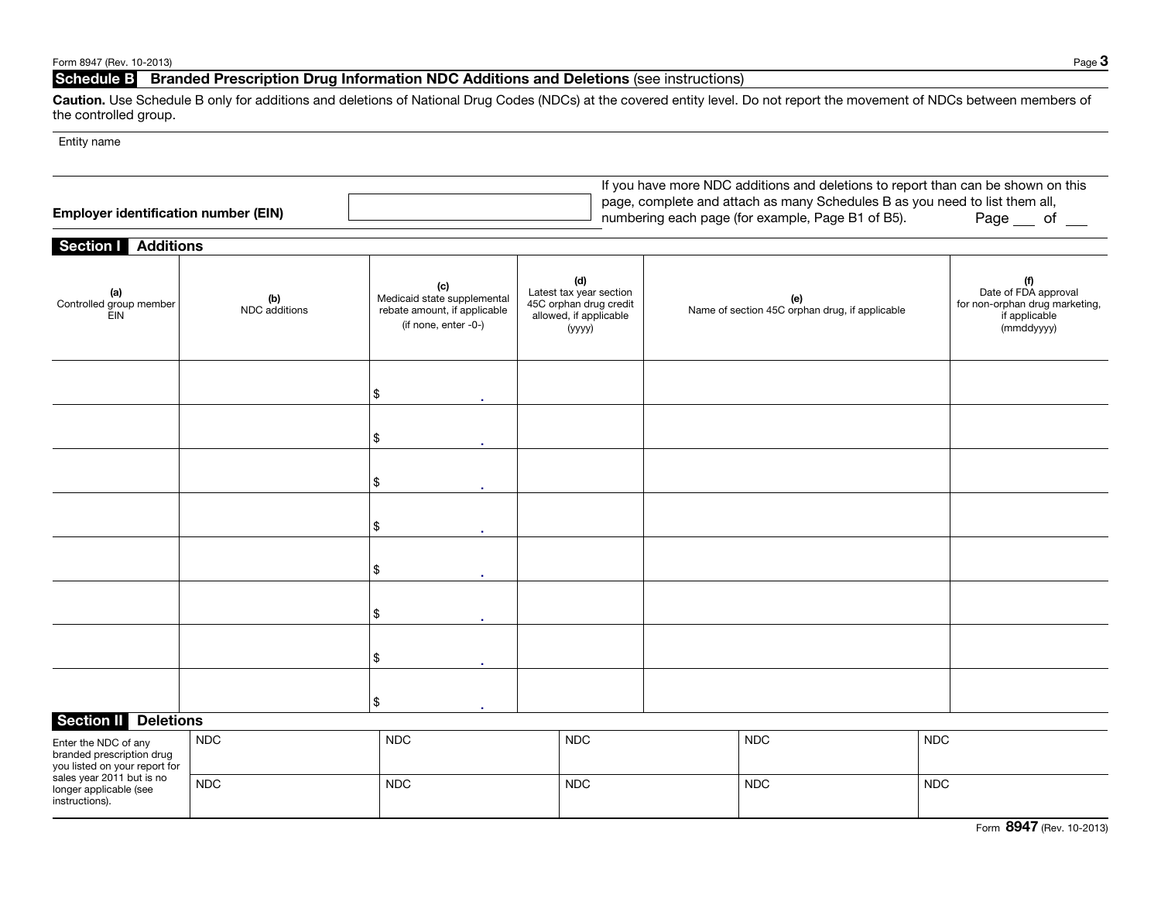# Schedule B Branded Prescription Drug Information NDC Additions and Deletions (see instructions)

Caution. Use Schedule B only for additions and deletions of National Drug Codes (NDCs) at the covered entity level. Do not report the movement of NDCs between members of the controlled group.

### Entity name

| <b>Employer identification number (EIN)</b> | If you have more NDC additions and deletions to report than can be shown on this<br>page, complete and attach as many Schedules B as you need to list them all,<br>numbering each page (for example, Page B1 of B5).<br>Page |
|---------------------------------------------|------------------------------------------------------------------------------------------------------------------------------------------------------------------------------------------------------------------------------|
| <b>Section   Additions</b>                  |                                                                                                                                                                                                                              |

| 1.9911010<br>(a)<br>Controlled group member<br>EIN                                                              | (b)<br>NDC additions | (c)<br>Medicaid state supplemental<br>rebate amount, if applicable<br>(if none, enter -0-) | (d)<br>Latest tax year section<br>45C orphan drug credit<br>allowed, if applicable<br>(уууу) |  | (e)<br>Name of section 45C orphan drug, if applicable |            | (f)<br>Date of FDA approval<br>for non-orphan drug marketing,<br>if applicable<br>(mmddyyyy) |
|-----------------------------------------------------------------------------------------------------------------|----------------------|--------------------------------------------------------------------------------------------|----------------------------------------------------------------------------------------------|--|-------------------------------------------------------|------------|----------------------------------------------------------------------------------------------|
|                                                                                                                 |                      | \$<br>٠                                                                                    |                                                                                              |  |                                                       |            |                                                                                              |
|                                                                                                                 |                      | \$                                                                                         |                                                                                              |  |                                                       |            |                                                                                              |
|                                                                                                                 |                      | \$                                                                                         |                                                                                              |  |                                                       |            |                                                                                              |
|                                                                                                                 |                      | \$                                                                                         |                                                                                              |  |                                                       |            |                                                                                              |
|                                                                                                                 |                      | \$                                                                                         |                                                                                              |  |                                                       |            |                                                                                              |
|                                                                                                                 |                      | \$<br>×.                                                                                   |                                                                                              |  |                                                       |            |                                                                                              |
|                                                                                                                 |                      | \$<br>٠                                                                                    |                                                                                              |  |                                                       |            |                                                                                              |
|                                                                                                                 |                      | \$<br>$\overline{\phantom{a}}$                                                             |                                                                                              |  |                                                       |            |                                                                                              |
| <b>Section II</b><br><b>Deletions</b>                                                                           |                      |                                                                                            |                                                                                              |  |                                                       |            |                                                                                              |
| Enter the NDC of any<br>branded prescription drug<br>you listed on your report for<br>sales year 2011 but is no | <b>NDC</b>           | <b>NDC</b>                                                                                 | <b>NDC</b>                                                                                   |  | <b>NDC</b>                                            | <b>NDC</b> |                                                                                              |
| longer applicable (see<br>instructions).                                                                        | <b>NDC</b>           | <b>NDC</b>                                                                                 | <b>NDC</b>                                                                                   |  | <b>NDC</b>                                            | <b>NDC</b> |                                                                                              |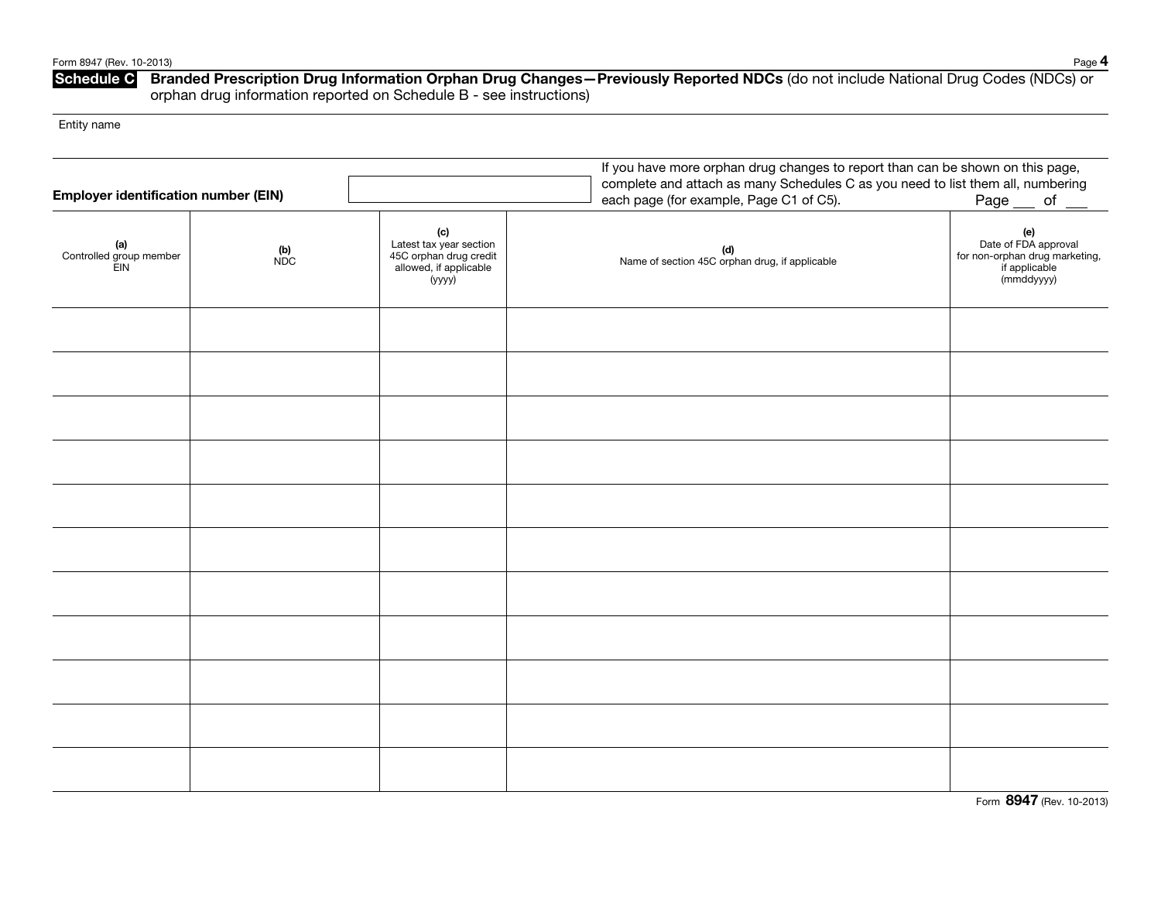### Schedule C Branded Prescription Drug Information Orphan Drug Changes–Previously Reported NDCs (do not include National Drug Codes (NDCs) or orphan drug information reported on Schedule B - see instructions)

Entity name

| <b>Employer identification number (EIN)</b> |              | If you have more orphan drug changes to report than can be shown on this page,<br>complete and attach as many Schedules C as you need to list them all, numbering<br>each page (for example, Page C1 of C5).<br>Page <i>__</i> of $\_\_$ |                                                       |                                                                                              |  |  |  |
|---------------------------------------------|--------------|------------------------------------------------------------------------------------------------------------------------------------------------------------------------------------------------------------------------------------------|-------------------------------------------------------|----------------------------------------------------------------------------------------------|--|--|--|
| (a)<br>Controlled group member<br>EIN       | $(b)$<br>NDC | (c)<br>Latest tax year section<br>45C orphan drug credit<br>allowed, if applicable<br>(уууу)                                                                                                                                             | (d)<br>Name of section 45C orphan drug, if applicable | (e)<br>Date of FDA approval<br>for non-orphan drug marketing,<br>if applicable<br>(mmddyyyy) |  |  |  |
|                                             |              |                                                                                                                                                                                                                                          |                                                       |                                                                                              |  |  |  |
|                                             |              |                                                                                                                                                                                                                                          |                                                       |                                                                                              |  |  |  |
|                                             |              |                                                                                                                                                                                                                                          |                                                       |                                                                                              |  |  |  |
|                                             |              |                                                                                                                                                                                                                                          |                                                       |                                                                                              |  |  |  |
|                                             |              |                                                                                                                                                                                                                                          |                                                       |                                                                                              |  |  |  |
|                                             |              |                                                                                                                                                                                                                                          |                                                       |                                                                                              |  |  |  |
|                                             |              |                                                                                                                                                                                                                                          |                                                       |                                                                                              |  |  |  |
|                                             |              |                                                                                                                                                                                                                                          |                                                       |                                                                                              |  |  |  |
|                                             |              |                                                                                                                                                                                                                                          |                                                       |                                                                                              |  |  |  |
|                                             |              |                                                                                                                                                                                                                                          |                                                       |                                                                                              |  |  |  |
|                                             |              |                                                                                                                                                                                                                                          |                                                       |                                                                                              |  |  |  |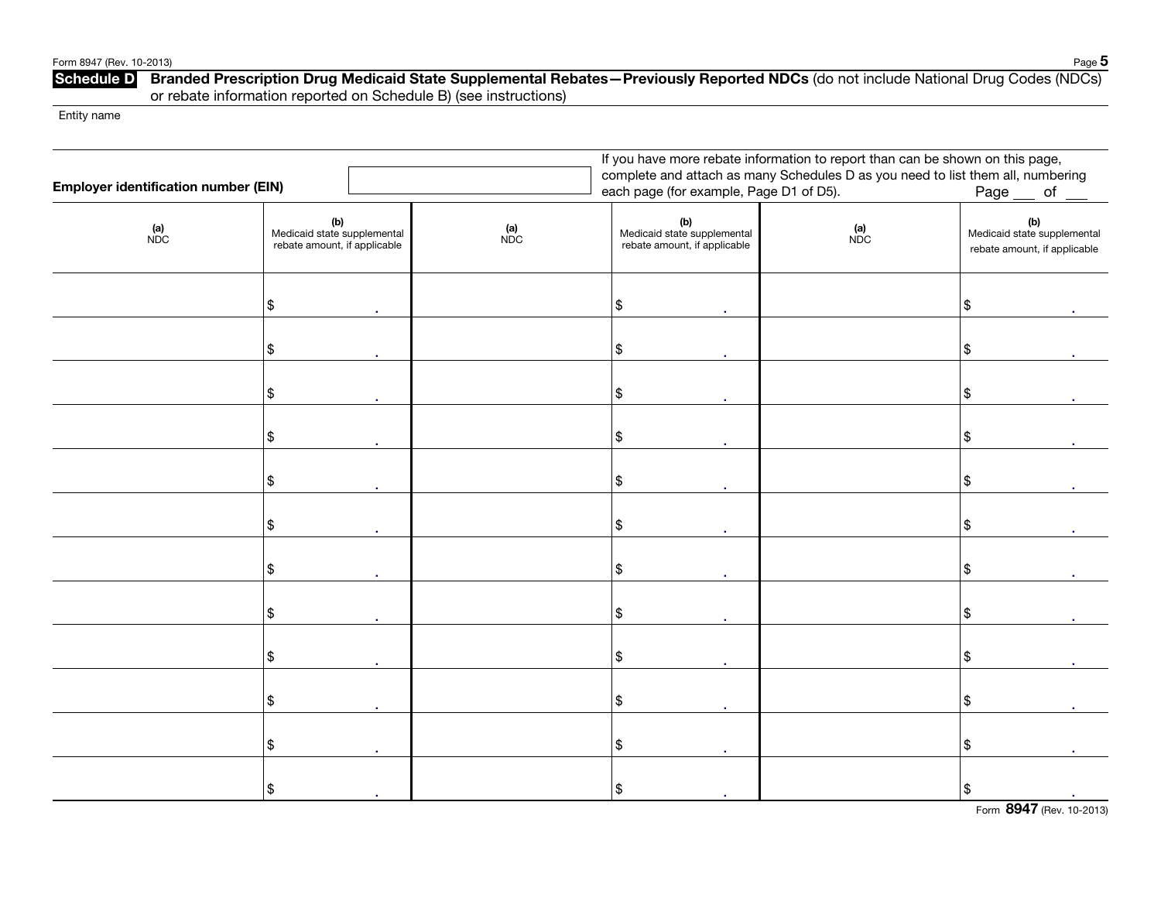#### Form 8947 (Rev. 10-2013) Page 5

### Schedule D Branded Prescription Drug Medicaid State Supplemental Rebates–Previously Reported NDCs (do not include National Drug Codes (NDCs) or rebate information reported on Schedule B) (see instructions)

Entity name

|                                             | If you have more rebate information to report than can be shown on this page, |  |                                                                                 |                                                                    |  |            |                                                                    |  |  |
|---------------------------------------------|-------------------------------------------------------------------------------|--|---------------------------------------------------------------------------------|--------------------------------------------------------------------|--|------------|--------------------------------------------------------------------|--|--|
| <b>Employer identification number (EIN)</b> |                                                                               |  | complete and attach as many Schedules D as you need to list them all, numbering |                                                                    |  |            |                                                                    |  |  |
|                                             |                                                                               |  | each page (for example, Page D1 of D5).                                         | Page<br>of                                                         |  |            |                                                                    |  |  |
| $(n)$<br>NDC                                | (b)<br>Medicaid state supplemental<br>rebate amount, if applicable            |  | $(n)$<br>NDC                                                                    | (b)<br>Medicaid state supplemental<br>rebate amount, if applicable |  | (a)<br>NDC | (b)<br>Medicaid state supplemental<br>rebate amount, if applicable |  |  |
|                                             | \$                                                                            |  |                                                                                 | \$                                                                 |  |            | \$                                                                 |  |  |
|                                             | $\frac{1}{2}$                                                                 |  |                                                                                 | $\frac{1}{2}$                                                      |  |            | \$                                                                 |  |  |
|                                             | \$                                                                            |  |                                                                                 | \$                                                                 |  |            | \$                                                                 |  |  |
|                                             | $\frac{1}{2}$                                                                 |  |                                                                                 | $\boldsymbol{\$}$                                                  |  |            | \$                                                                 |  |  |
|                                             | \$                                                                            |  |                                                                                 | \$                                                                 |  |            | \$                                                                 |  |  |
|                                             | \$                                                                            |  |                                                                                 | \$                                                                 |  |            | \$                                                                 |  |  |
|                                             | \$                                                                            |  |                                                                                 | \$                                                                 |  |            | \$                                                                 |  |  |
|                                             | \$                                                                            |  |                                                                                 | \$                                                                 |  |            | \$                                                                 |  |  |
|                                             | \$                                                                            |  |                                                                                 | \$                                                                 |  |            | \$                                                                 |  |  |
|                                             | \$                                                                            |  |                                                                                 | \$                                                                 |  |            | \$                                                                 |  |  |
|                                             | \$                                                                            |  |                                                                                 | \$                                                                 |  |            | \$                                                                 |  |  |
|                                             | \$                                                                            |  |                                                                                 | \$                                                                 |  |            | \$                                                                 |  |  |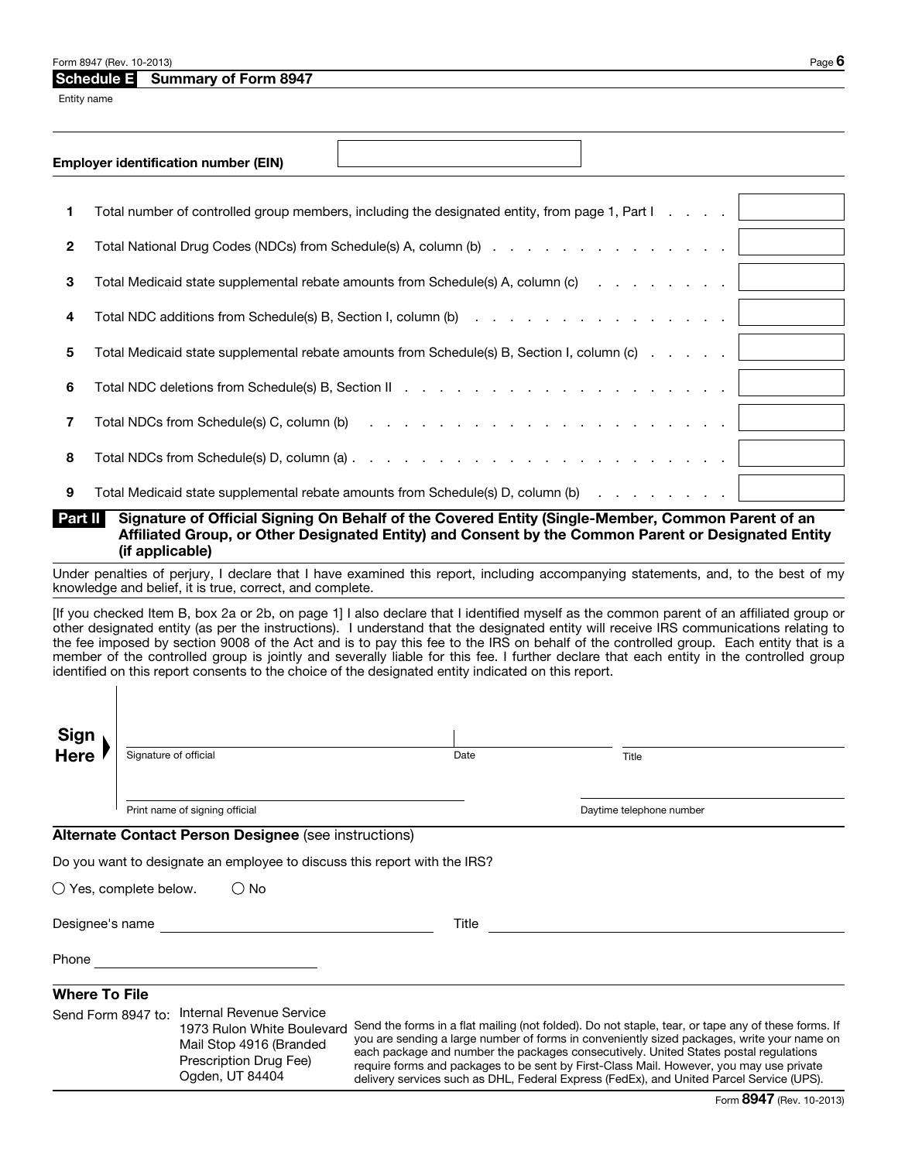#### Form 8947 (Rev. 10-2013) Page  $\bf{6}$

### Schedule E Summary of Form 8947

Entity name

|              | <b>Employer identification number (EIN)</b>                                                                                |
|--------------|----------------------------------------------------------------------------------------------------------------------------|
|              |                                                                                                                            |
| 1            | Total number of controlled group members, including the designated entity, from page 1, Part I                             |
| $\mathbf{2}$ |                                                                                                                            |
| 3            | Total Medicaid state supplemental rebate amounts from Schedule(s) A, column (c)                                            |
| 4            |                                                                                                                            |
| 5            | Total Medicaid state supplemental rebate amounts from Schedule(s) B, Section I, column (c)                                 |
| 6            |                                                                                                                            |
| 7            | Total NDCs from Schedule(s) C, column (b) $\cdots$ $\cdots$ $\cdots$ $\cdots$ $\cdots$ $\cdots$ $\cdots$ $\cdots$ $\cdots$ |
| 8            | Total NDCs from Schedule(s) D, column (a) $\ldots$ $\ldots$ $\ldots$ $\ldots$ $\ldots$ $\ldots$ $\ldots$ $\ldots$ $\ldots$ |
| 9            | Total Medicaid state supplemental rebate amounts from Schedule(s) D, column (b) (application of the control of             |

Part II Signature of Official Signing On Behalf of the Covered Entity (Single-Member, Common Parent of an Affiliated Group, or Other Designated Entity) and Consent by the Common Parent or Designated Entity (if applicable)

Under penalties of perjury, I declare that I have examined this report, including accompanying statements, and, to the best of my knowledge and belief, it is true, correct, and complete.

[If you checked Item B, box 2a or 2b, on page 1] I also declare that I identified myself as the common parent of an affiliated group or other designated entity (as per the instructions). I understand that the designated entity will receive IRS communications relating to the fee imposed by section 9008 of the Act and is to pay this fee to the IRS on behalf of the controlled group. Each entity that is a member of the controlled group is jointly and severally liable for this fee. I further declare that each entity in the controlled group identified on this report consents to the choice of the designated entity indicated on this report.

| Sign<br>Here |                                |      |                          |  |
|--------------|--------------------------------|------|--------------------------|--|
|              | Signature of official          | Date | Title                    |  |
|              | Print name of signing official |      | Daytime telephone number |  |

#### Alternate Contact Person Designee (see instructions)

Do you want to designate an employee to discuss this report with the IRS?

 $\bigcirc$  Yes, complete below.  $\bigcirc$  No

Designee's name Title

Phone <u>\_\_\_\_\_\_\_\_\_\_\_\_\_\_\_\_\_\_</u>

### Where To File

| Send Form 8947 to: Internal Revenue Service                          |                                                                                                                                                                                                                                                                               |  |  |  |  |  |
|----------------------------------------------------------------------|-------------------------------------------------------------------------------------------------------------------------------------------------------------------------------------------------------------------------------------------------------------------------------|--|--|--|--|--|
| 1973 Rulon White Boulevard                                           | Send the forms in a flat mailing (not folded). Do not staple, tear, or tape any of these forms. If                                                                                                                                                                            |  |  |  |  |  |
| Mail Stop 4916 (Branded<br>Prescription Drug Fee)<br>Ogden, UT 84404 | you are sending a large number of forms in conveniently sized packages, write your name on<br>each package and number the packages consecutively. United States postal regulations<br>require forms and packages to be sent by First-Class Mail. However, you may use private |  |  |  |  |  |
|                                                                      |                                                                                                                                                                                                                                                                               |  |  |  |  |  |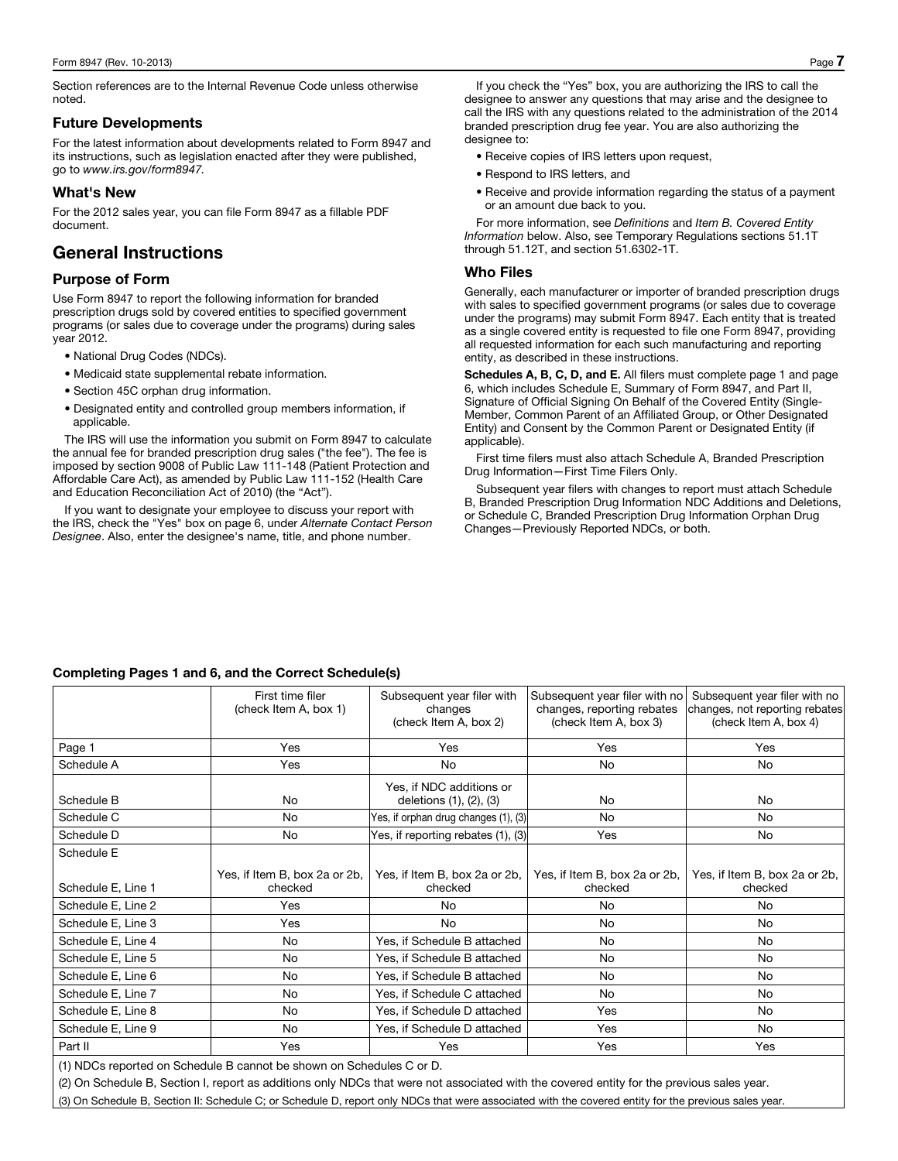Section references are to the Internal Revenue Code unless otherwise noted.

#### Future Developments

For the latest information about developments related to Form 8947 and its instructions, such as legislation enacted after they were published, go to *www.irs.gov/form8947.*

### What's New

For the 2012 sales year, you can file Form 8947 as a fillable PDF document.

# General Instructions

### Purpose of Form

Use Form 8947 to report the following information for branded prescription drugs sold by covered entities to specified government programs (or sales due to coverage under the programs) during sales year 2012.

- National Drug Codes (NDCs).
- Medicaid state supplemental rebate information.
- Section 45C orphan drug information.
- Designated entity and controlled group members information, if applicable.

The IRS will use the information you submit on Form 8947 to calculate the annual fee for branded prescription drug sales ("the fee"). The fee is imposed by section 9008 of Public Law 111-148 (Patient Protection and Affordable Care Act), as amended by Public Law 111-152 (Health Care and Education Reconciliation Act of 2010) (the "Act").

If you want to designate your employee to discuss your report with the IRS, check the "Yes" box on page 6, under *Alternate Contact Person Designee*. Also, enter the designee's name, title, and phone number.

If you check the "Yes" box, you are authorizing the IRS to call the designee to answer any questions that may arise and the designee to call the IRS with any questions related to the administration of the 2014 branded prescription drug fee year. You are also authorizing the designee to:

- Receive copies of IRS letters upon request,
- Respond to IRS letters, and
- Receive and provide information regarding the status of a payment or an amount due back to you.

For more information, see *Definitions* and *Item B. Covered Entity Information* below. Also, see Temporary Regulations sections 51.1T through 51.12T, and section 51.6302-1T.

### Who Files

Generally, each manufacturer or importer of branded prescription drugs with sales to specified government programs (or sales due to coverage under the programs) may submit Form 8947. Each entity that is treated as a single covered entity is requested to file one Form 8947, providing all requested information for each such manufacturing and reporting entity, as described in these instructions.

Schedules A, B, C, D, and E. All filers must complete page 1 and page 6, which includes Schedule E, Summary of Form 8947, and Part II, Signature of Official Signing On Behalf of the Covered Entity (Single-Member, Common Parent of an Affiliated Group, or Other Designated Entity) and Consent by the Common Parent or Designated Entity (if applicable).

First time filers must also attach Schedule A, Branded Prescription Drug Information—First Time Filers Only.

Subsequent year filers with changes to report must attach Schedule B, Branded Prescription Drug Information NDC Additions and Deletions, or Schedule C, Branded Prescription Drug Information Orphan Drug Changes—Previously Reported NDCs, or both.

### Completing Pages 1 and 6, and the Correct Schedule(s)

|                    | First time filer<br>(check Item A, box 1) | Subsequent year filer with<br>changes<br>(check Item A, box 2) | Subsequent year filer with no<br>changes, reporting rebates<br>(check Item A, box 3) | Subsequent year filer with no<br>changes, not reporting rebates<br>(check Item A, box 4) |
|--------------------|-------------------------------------------|----------------------------------------------------------------|--------------------------------------------------------------------------------------|------------------------------------------------------------------------------------------|
| Page 1             | <b>Yes</b>                                | Yes                                                            | Yes                                                                                  | Yes                                                                                      |
| Schedule A         | <b>Yes</b>                                | <b>No</b>                                                      | No                                                                                   | No                                                                                       |
| Schedule B         | No                                        | Yes, if NDC additions or<br>deletions (1), (2), (3)            | No                                                                                   | No                                                                                       |
| Schedule C         | No                                        | Yes, if orphan drug changes (1), (3)                           | No                                                                                   | No                                                                                       |
| Schedule D         | No                                        | Yes, if reporting rebates (1), (3)                             | Yes                                                                                  | No.                                                                                      |
| Schedule E         |                                           |                                                                |                                                                                      |                                                                                          |
| Schedule E, Line 1 | Yes, if Item B, box 2a or 2b,<br>checked  | Yes, if Item B, box 2a or 2b,<br>checked                       | Yes, if Item B, box 2a or 2b,<br>checked                                             | Yes, if Item B, box 2a or 2b,<br>checked                                                 |
| Schedule E, Line 2 | <b>Yes</b>                                | No                                                             | No                                                                                   | No.                                                                                      |
| Schedule E, Line 3 | Yes                                       | No                                                             | No                                                                                   | No                                                                                       |
| Schedule E, Line 4 | No                                        | Yes, if Schedule B attached                                    | No                                                                                   | No                                                                                       |
| Schedule E, Line 5 | No                                        | Yes, if Schedule B attached                                    | No                                                                                   | No                                                                                       |
| Schedule E, Line 6 | No                                        | Yes, if Schedule B attached                                    | No                                                                                   | No.                                                                                      |
| Schedule E, Line 7 | No                                        | Yes, if Schedule C attached                                    | No                                                                                   | No                                                                                       |
| Schedule E, Line 8 | No                                        | Yes, if Schedule D attached                                    | Yes                                                                                  | No                                                                                       |
| Schedule E, Line 9 | No.                                       | Yes, if Schedule D attached                                    | Yes                                                                                  | No                                                                                       |
| Part II            | <b>Yes</b>                                | <b>Yes</b>                                                     | Yes                                                                                  | Yes                                                                                      |

(1) NDCs reported on Schedule B cannot be shown on Schedules C or D.

(2) On Schedule B, Section I, report as additions only NDCs that were not associated with the covered entity for the previous sales year.

(3) On Schedule B, Section II: Schedule C; or Schedule D, report only NDCs that were associated with the covered entity for the previous sales year.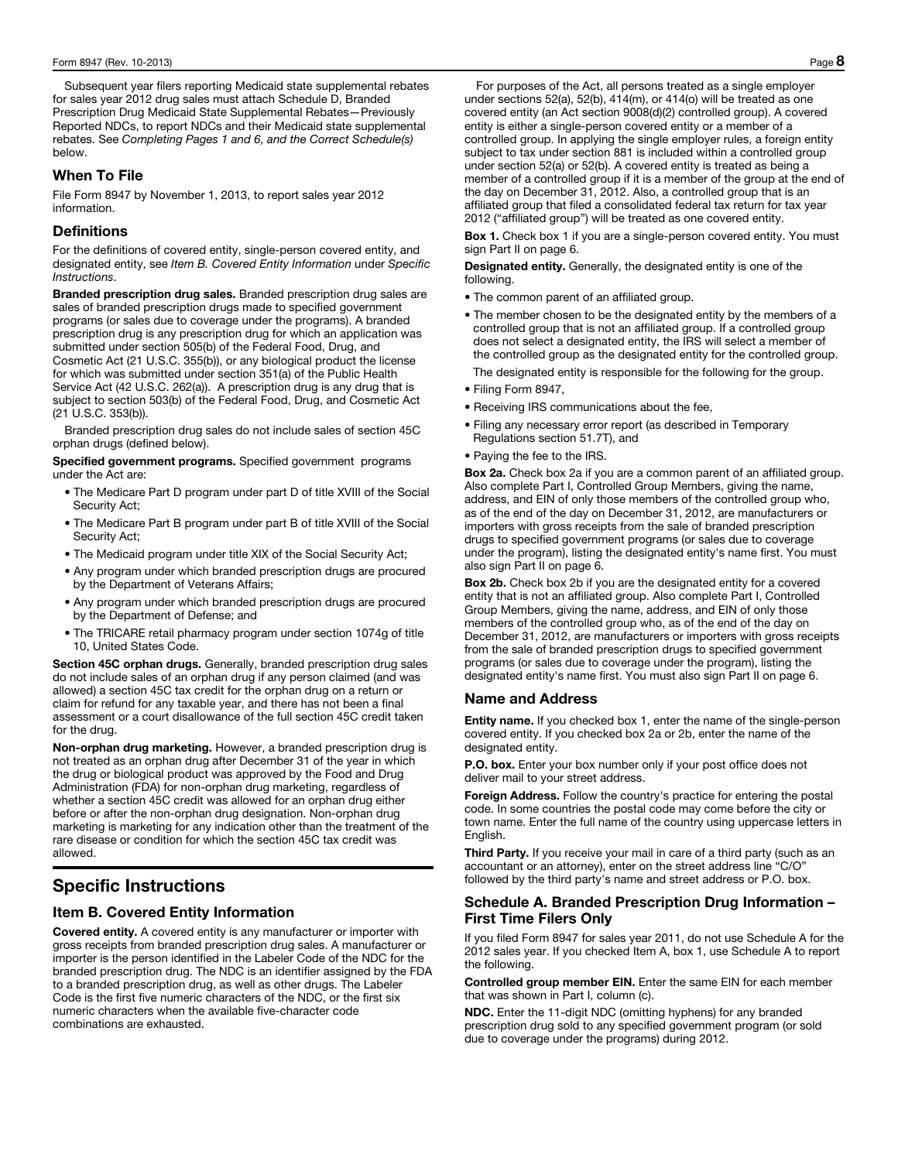Subsequent year filers reporting Medicaid state supplemental rebates for sales year 2012 drug sales must attach Schedule D, Branded Prescription Drug Medicaid State Supplemental Rebates—Previously Reported NDCs, to report NDCs and their Medicaid state supplemental rebates. See *Completing Pages 1 and 6, and the Correct Schedule(s)*  below.

#### When To File

File Form 8947 by November 1, 2013, to report sales year 2012 information.

### **Definitions**

For the definitions of covered entity, single-person covered entity, and designated entity, see *Item B. Covered Entity Information* under *Specific Instructions*.

Branded prescription drug sales. Branded prescription drug sales are sales of branded prescription drugs made to specified government programs (or sales due to coverage under the programs). A branded prescription drug is any prescription drug for which an application was submitted under section 505(b) of the Federal Food, Drug, and Cosmetic Act (21 U.S.C. 355(b)), or any biological product the license for which was submitted under section 351(a) of the Public Health Service Act (42 U.S.C. 262(a)). A prescription drug is any drug that is subject to section 503(b) of the Federal Food, Drug, and Cosmetic Act (21 U.S.C. 353(b)).

Branded prescription drug sales do not include sales of section 45C orphan drugs (defined below).

Specified government programs. Specified government programs under the Act are:

- The Medicare Part D program under part D of title XVIII of the Social Security Act;
- The Medicare Part B program under part B of title XVIII of the Social Security Act;
- The Medicaid program under title XIX of the Social Security Act;
- Any program under which branded prescription drugs are procured by the Department of Veterans Affairs;
- Any program under which branded prescription drugs are procured by the Department of Defense; and
- The TRICARE retail pharmacy program under section 1074g of title 10, United States Code.

Section 45C orphan drugs. Generally, branded prescription drug sales do not include sales of an orphan drug if any person claimed (and was allowed) a section 45C tax credit for the orphan drug on a return or claim for refund for any taxable year, and there has not been a final assessment or a court disallowance of the full section 45C credit taken for the drug.

Non-orphan drug marketing. However, a branded prescription drug is not treated as an orphan drug after December 31 of the year in which the drug or biological product was approved by the Food and Drug Administration (FDA) for non-orphan drug marketing, regardless of whether a section 45C credit was allowed for an orphan drug either before or after the non-orphan drug designation. Non-orphan drug marketing is marketing for any indication other than the treatment of the rare disease or condition for which the section 45C tax credit was allowed.

# Specific Instructions

## Item B. Covered Entity Information

Covered entity. A covered entity is any manufacturer or importer with gross receipts from branded prescription drug sales. A manufacturer or importer is the person identified in the Labeler Code of the NDC for the branded prescription drug. The NDC is an identifier assigned by the FDA to a branded prescription drug, as well as other drugs. The Labeler Code is the first five numeric characters of the NDC, or the first six numeric characters when the available five-character code combinations are exhausted.

For purposes of the Act, all persons treated as a single employer under sections 52(a), 52(b), 414(m), or 414(o) will be treated as one covered entity (an Act section 9008(d)(2) controlled group). A covered entity is either a single-person covered entity or a member of a controlled group. In applying the single employer rules, a foreign entity subject to tax under section 881 is included within a controlled group under section 52(a) or 52(b). A covered entity is treated as being a member of a controlled group if it is a member of the group at the end of the day on December 31, 2012. Also, a controlled group that is an affiliated group that filed a consolidated federal tax return for tax year 2012 ("affiliated group") will be treated as one covered entity.

Box 1. Check box 1 if you are a single-person covered entity. You must sign Part II on page 6.

Designated entity. Generally, the designated entity is one of the following.

- The common parent of an affiliated group.
- The member chosen to be the designated entity by the members of a controlled group that is not an affiliated group. If a controlled group does not select a designated entity, the IRS will select a member of the controlled group as the designated entity for the controlled group.

The designated entity is responsible for the following for the group.

- Filing Form 8947,
- Receiving IRS communications about the fee,
- Filing any necessary error report (as described in Temporary Regulations section 51.7T), and
- Paying the fee to the IRS.

Box 2a. Check box 2a if you are a common parent of an affiliated group. Also complete Part I, Controlled Group Members, giving the name, address, and EIN of only those members of the controlled group who, as of the end of the day on December 31, 2012, are manufacturers or importers with gross receipts from the sale of branded prescription drugs to specified government programs (or sales due to coverage under the program), listing the designated entity's name first. You must also sign Part II on page 6.

Box 2b. Check box 2b if you are the designated entity for a covered entity that is not an affiliated group. Also complete Part I, Controlled Group Members, giving the name, address, and EIN of only those members of the controlled group who, as of the end of the day on December 31, 2012, are manufacturers or importers with gross receipts from the sale of branded prescription drugs to specified government programs (or sales due to coverage under the program), listing the designated entity's name first. You must also sign Part II on page 6.

#### Name and Address

**Entity name.** If you checked box 1, enter the name of the single-person covered entity. If you checked box 2a or 2b, enter the name of the designated entity.

P.O. box. Enter your box number only if your post office does not deliver mail to your street address.

Foreign Address. Follow the country's practice for entering the postal code. In some countries the postal code may come before the city or town name. Enter the full name of the country using uppercase letters in English.

Third Party. If you receive your mail in care of a third party (such as an accountant or an attorney), enter on the street address line "C/O" followed by the third party's name and street address or P.O. box.

### Schedule A. Branded Prescription Drug Information – First Time Filers Only

If you filed Form 8947 for sales year 2011, do not use Schedule A for the 2012 sales year. If you checked Item A, box 1, use Schedule A to report the following.

Controlled group member EIN. Enter the same EIN for each member that was shown in Part I, column (c).

NDC. Enter the 11-digit NDC (omitting hyphens) for any branded prescription drug sold to any specified government program (or sold due to coverage under the programs) during 2012.